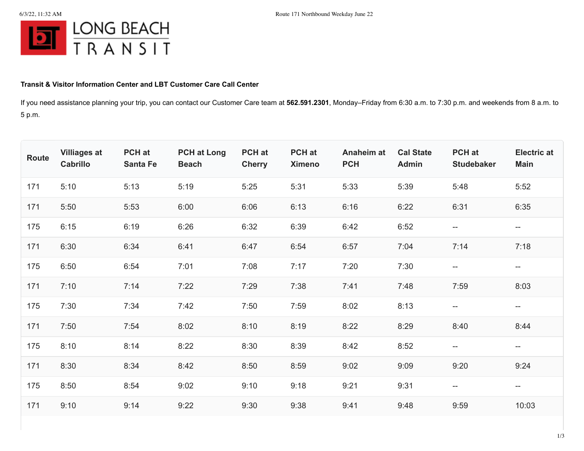

## **Transit & Visitor Information Center and LBT Customer Care Call Center**

If you need assistance planning your trip, you can contact our Customer Care team at **562.591.2301**, Monday–Friday from 6:30 a.m. to 7:30 p.m. and weekends from 8 a.m. to 5 p.m.

| Route | <b>Villiages at</b><br>Cabrillo | PCH at<br><b>Santa Fe</b> | <b>PCH at Long</b><br><b>Beach</b> | PCH at<br><b>Cherry</b> | <b>PCH</b> at<br><b>Ximeno</b> | <b>Anaheim at</b><br><b>PCH</b> | <b>Cal State</b><br><b>Admin</b> | PCH at<br><b>Studebaker</b> | <b>Electric at</b><br><b>Main</b>                   |
|-------|---------------------------------|---------------------------|------------------------------------|-------------------------|--------------------------------|---------------------------------|----------------------------------|-----------------------------|-----------------------------------------------------|
| 171   | 5:10                            | 5:13                      | 5:19                               | 5:25                    | 5:31                           | 5:33                            | 5:39                             | 5:48                        | 5:52                                                |
| 171   | 5:50                            | 5:53                      | 6:00                               | 6:06                    | 6:13                           | 6:16                            | 6:22                             | 6:31                        | 6:35                                                |
| 175   | 6:15                            | 6:19                      | 6:26                               | 6:32                    | 6:39                           | 6:42                            | 6:52                             | $\overline{\phantom{m}}$    | $- -$                                               |
| 171   | 6:30                            | 6:34                      | 6:41                               | 6:47                    | 6:54                           | 6:57                            | 7:04                             | 7:14                        | 7:18                                                |
| 175   | 6:50                            | 6:54                      | 7:01                               | 7:08                    | 7:17                           | 7:20                            | 7:30                             | $- -$                       | $\hspace{0.05cm} -\hspace{0.05cm} -\hspace{0.05cm}$ |
| 171   | 7:10                            | 7:14                      | 7:22                               | 7:29                    | 7:38                           | 7:41                            | 7:48                             | 7:59                        | 8:03                                                |
| 175   | 7:30                            | 7:34                      | 7:42                               | 7:50                    | 7:59                           | 8:02                            | 8:13                             | $\overline{\phantom{a}}$    | $--$                                                |
| 171   | 7:50                            | 7:54                      | 8:02                               | 8:10                    | 8:19                           | 8:22                            | 8:29                             | 8:40                        | 8:44                                                |
| 175   | 8:10                            | 8:14                      | 8:22                               | 8:30                    | 8:39                           | 8:42                            | 8:52                             | $\overline{\phantom{m}}$    | $\overline{\phantom{m}}$                            |
| 171   | 8:30                            | 8:34                      | 8:42                               | 8:50                    | 8:59                           | 9:02                            | 9:09                             | 9:20                        | 9:24                                                |
| 175   | 8:50                            | 8:54                      | 9:02                               | 9:10                    | 9:18                           | 9:21                            | 9:31                             | $-\!$ $\!-$                 | $-\!$                                               |
| 171   | 9:10                            | 9:14                      | 9:22                               | 9:30                    | 9:38                           | 9:41                            | 9:48                             | 9:59                        | 10:03                                               |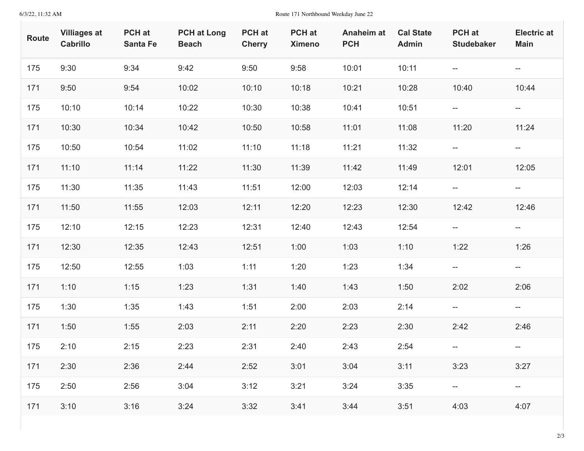## 6/3/22, 11:32 AM Route 171 Northbound Weekday June 22

| Route | <b>Villiages at</b><br>Cabrillo | PCH at<br><b>Santa Fe</b> | <b>PCH at Long</b><br><b>Beach</b> | PCH at<br><b>Cherry</b> | <b>PCH</b> at<br><b>Ximeno</b> | Anaheim at<br><b>PCH</b> | <b>Cal State</b><br><b>Admin</b> | PCH at<br><b>Studebaker</b>                         | <b>Electric at</b><br><b>Main</b>                   |
|-------|---------------------------------|---------------------------|------------------------------------|-------------------------|--------------------------------|--------------------------|----------------------------------|-----------------------------------------------------|-----------------------------------------------------|
| 175   | 9:30                            | 9:34                      | 9:42                               | 9:50                    | 9:58                           | 10:01                    | 10:11                            | $\overline{\phantom{m}}$                            | $\overline{\phantom{a}}$                            |
| 171   | 9:50                            | 9:54                      | 10:02                              | 10:10                   | 10:18                          | 10:21                    | 10:28                            | 10:40                                               | 10:44                                               |
| 175   | 10:10                           | 10:14                     | 10:22                              | 10:30                   | 10:38                          | 10:41                    | 10:51                            | $\overline{\phantom{a}}$                            | $- -$                                               |
| 171   | 10:30                           | 10:34                     | 10:42                              | 10:50                   | 10:58                          | 11:01                    | 11:08                            | 11:20                                               | 11:24                                               |
| 175   | 10:50                           | 10:54                     | 11:02                              | 11:10                   | 11:18                          | 11:21                    | 11:32                            | $\overline{\phantom{m}}$                            | $\overline{\phantom{a}}$                            |
| 171   | 11:10                           | 11:14                     | 11:22                              | 11:30                   | 11:39                          | 11:42                    | 11:49                            | 12:01                                               | 12:05                                               |
| 175   | 11:30                           | 11:35                     | 11:43                              | 11:51                   | 12:00                          | 12:03                    | 12:14                            | $\overline{\phantom{a}}$                            | $- -$                                               |
| 171   | 11:50                           | 11:55                     | 12:03                              | 12:11                   | 12:20                          | 12:23                    | 12:30                            | 12:42                                               | 12:46                                               |
| 175   | 12:10                           | 12:15                     | 12:23                              | 12:31                   | 12:40                          | 12:43                    | 12:54                            | $- -$                                               | $\overline{\phantom{a}}$                            |
| 171   | 12:30                           | 12:35                     | 12:43                              | 12:51                   | 1:00                           | 1:03                     | 1:10                             | 1:22                                                | 1:26                                                |
| 175   | 12:50                           | 12:55                     | 1:03                               | 1:11                    | 1:20                           | 1:23                     | 1:34                             | $\hspace{0.05cm} -\hspace{0.05cm} -\hspace{0.05cm}$ | $- -$                                               |
| 171   | 1:10                            | 1:15                      | 1:23                               | 1:31                    | 1:40                           | 1:43                     | 1:50                             | 2:02                                                | 2:06                                                |
| 175   | 1:30                            | 1:35                      | 1:43                               | 1:51                    | 2:00                           | 2:03                     | 2:14                             | $- -$                                               | $- -$                                               |
| 171   | 1:50                            | 1:55                      | 2:03                               | 2:11                    | 2:20                           | 2:23                     | 2:30                             | 2:42                                                | 2:46                                                |
| 175   | 2:10                            | 2:15                      | 2:23                               | 2:31                    | 2:40                           | 2:43                     | 2:54                             | $-\!$                                               | $\hspace{0.05cm} -\hspace{0.05cm} -\hspace{0.05cm}$ |
| 171   | 2:30                            | 2:36                      | 2:44                               | 2:52                    | 3:01                           | 3:04                     | 3:11                             | 3:23                                                | 3:27                                                |
| 175   | 2:50                            | 2:56                      | 3:04                               | 3:12                    | 3:21                           | 3:24                     | 3:35                             |                                                     | $\hspace{0.05cm}--\hspace{0.05cm}$                  |
| 171   | 3:10                            | 3:16                      | 3:24                               | 3:32                    | 3:41                           | 3:44                     | 3:51                             | 4:03                                                | 4:07                                                |